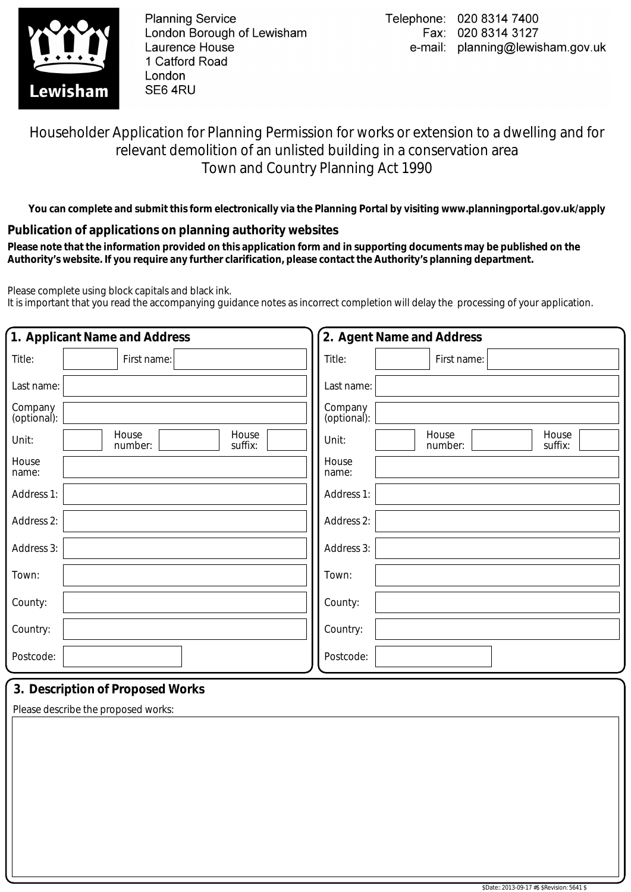

**Planning Service** London Borough of Lewisham Laurence House 1 Catford Road London SE64RU

### Householder Application for Planning Permission for works or extension to a dwelling and for relevant demolition of an unlisted building in a conservation area Town and Country Planning Act 1990

**You can complete and submit this form electronically via the Planning Portal by visiting www.planningportal.gov.uk/apply**

### **Publication of applications on planning authority websites**

 **Please note that the information provided on this application form and in supporting documents may be published on the Authority's website. If you require any further clarification, please contact the Authority's planning department.**

Please complete using block capitals and black ink.

It is important that you read the accompanying guidance notes as incorrect completion will delay the processing of your application.

| 1. Applicant Name and Address |                                      | 2. Agent Name and Address                     |  |  |
|-------------------------------|--------------------------------------|-----------------------------------------------|--|--|
| Title:                        | First name:                          | Title:<br>First name:                         |  |  |
| Last name:                    |                                      | Last name:                                    |  |  |
| Company<br>(optional):        |                                      | Company<br>(optional):                        |  |  |
| Unit:                         | House<br>House<br>suffix:<br>number: | House<br>House<br>Unit:<br>number:<br>suffix: |  |  |
| House<br>name:                |                                      | House<br>name:                                |  |  |
| Address 1:                    |                                      | Address 1:                                    |  |  |
| Address 2:                    |                                      | Address 2:                                    |  |  |
| Address 3:                    |                                      | Address 3:                                    |  |  |
| Town:                         |                                      | Town:                                         |  |  |
| County:                       |                                      | County:                                       |  |  |
| Country:                      |                                      | Country:                                      |  |  |
| Postcode:                     |                                      | Postcode:                                     |  |  |

### **3. Description of Proposed Works**

Please describe the proposed works: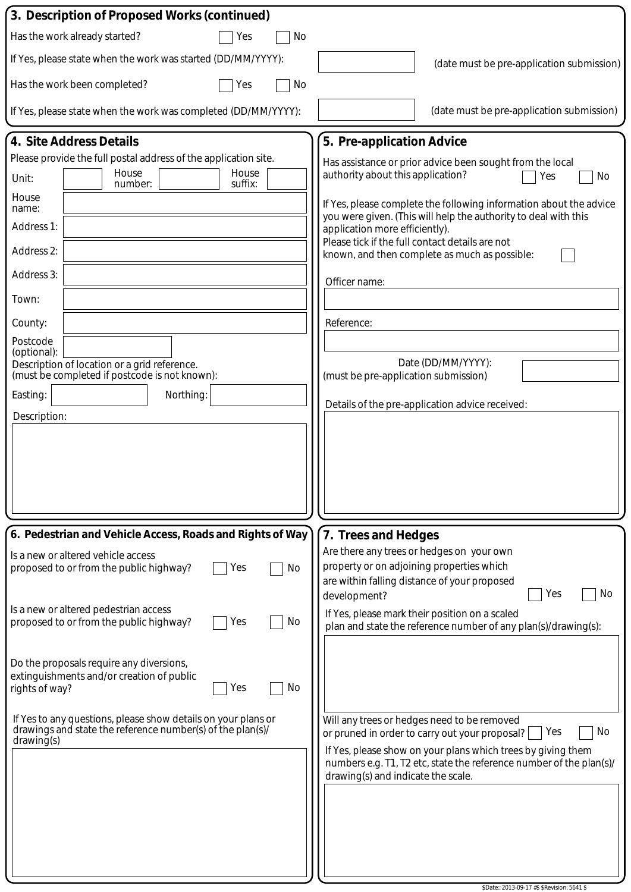| 3. Description of Proposed Works (continued)                                                  |                                                                                                                                       |  |
|-----------------------------------------------------------------------------------------------|---------------------------------------------------------------------------------------------------------------------------------------|--|
| Has the work already started?<br>No<br>Yes                                                    |                                                                                                                                       |  |
| If Yes, please state when the work was started (DD/MM/YYYY):                                  | (date must be pre-application submission)                                                                                             |  |
| Has the work been completed?<br>No<br>Yes                                                     |                                                                                                                                       |  |
| If Yes, please state when the work was completed (DD/MM/YYYY):                                | (date must be pre-application submission)                                                                                             |  |
| 4. Site Address Details                                                                       | 5. Pre-application Advice                                                                                                             |  |
| Please provide the full postal address of the application site.                               | Has assistance or prior advice been sought from the local                                                                             |  |
| House<br>House<br>Unit:<br>suffix:<br>number:                                                 | authority about this application?<br>Yes<br>No                                                                                        |  |
| House<br>name:                                                                                | If Yes, please complete the following information about the advice<br>you were given. (This will help the authority to deal with this |  |
| Address 1:                                                                                    | application more efficiently).<br>Please tick if the full contact details are not                                                     |  |
| Address 2:                                                                                    | known, and then complete as much as possible:                                                                                         |  |
| Address 3:                                                                                    | Officer name:                                                                                                                         |  |
| Town:                                                                                         |                                                                                                                                       |  |
| County:<br>Postcode                                                                           | Reference:                                                                                                                            |  |
| (optional):<br>Description of location or a grid reference.                                   | Date (DD/MM/YYYY):                                                                                                                    |  |
| (must be completed if postcode is not known):                                                 | (must be pre-application submission)                                                                                                  |  |
| Easting:<br>Northing:                                                                         | Details of the pre-application advice received:                                                                                       |  |
| Description:                                                                                  |                                                                                                                                       |  |
|                                                                                               |                                                                                                                                       |  |
|                                                                                               |                                                                                                                                       |  |
|                                                                                               |                                                                                                                                       |  |
|                                                                                               |                                                                                                                                       |  |
| 6. Pedestrian and Vehicle Access, Roads and Rights of Way                                     | 7. Trees and Hedges                                                                                                                   |  |
| Is a new or altered vehicle access<br>No<br>proposed to or from the public highway?<br>Yes    | Are there any trees or hedges on your own<br>property or on adjoining properties which                                                |  |
|                                                                                               | are within falling distance of your proposed<br>Yes<br>No<br>development?                                                             |  |
| Is a new or altered pedestrian access<br>proposed to or from the public highway?<br>No<br>Yes | If Yes, please mark their position on a scaled                                                                                        |  |
|                                                                                               | plan and state the reference number of any plan(s)/drawing(s):                                                                        |  |
| Do the proposals require any diversions,                                                      |                                                                                                                                       |  |
| extinguishments and/or creation of public<br>No<br>Yes<br>rights of way?                      |                                                                                                                                       |  |
| If Yes to any questions, please show details on your plans or                                 | Will any trees or hedges need to be removed                                                                                           |  |
| drawings and state the reference number(s) of the plan(s)/<br>drawing(s)                      | Yes<br>No<br>or pruned in order to carry out your proposal?                                                                           |  |
|                                                                                               | If Yes, please show on your plans which trees by giving them<br>numbers e.g. T1, T2 etc, state the reference number of the plan(s)/   |  |
|                                                                                               | drawing(s) and indicate the scale.                                                                                                    |  |
|                                                                                               |                                                                                                                                       |  |
|                                                                                               |                                                                                                                                       |  |
|                                                                                               |                                                                                                                                       |  |
|                                                                                               |                                                                                                                                       |  |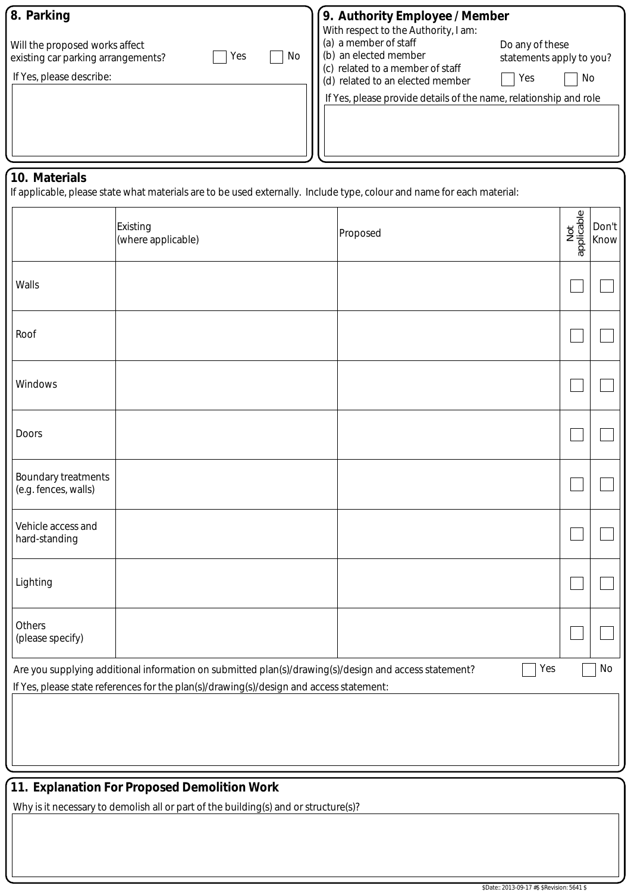| 8. Parking                                                                                                    | 9. Authority Employee / Member<br>With respect to the Authority, I am:                                                                                                                                                                                  |
|---------------------------------------------------------------------------------------------------------------|---------------------------------------------------------------------------------------------------------------------------------------------------------------------------------------------------------------------------------------------------------|
| Will the proposed works affect<br>No<br>Yes<br>existing car parking arrangements?<br>If Yes, please describe: | (a) a member of staff<br>Do any of these<br>(b) an elected member<br>statements apply to you?<br>(c) related to a member of staff<br>No<br>Yes<br>(d) related to an elected member<br>If Yes, please provide details of the name, relationship and role |
|                                                                                                               |                                                                                                                                                                                                                                                         |

#### **10. Materials**

If applicable, please state what materials are to be used externally. Include type, colour and name for each material:

|                                                                                                                    | Existing<br>(where applicable)                                                          | Proposed | Not<br>applicable | Don't<br>Know |  |
|--------------------------------------------------------------------------------------------------------------------|-----------------------------------------------------------------------------------------|----------|-------------------|---------------|--|
| Walls                                                                                                              |                                                                                         |          |                   |               |  |
| Roof                                                                                                               |                                                                                         |          |                   |               |  |
| Windows                                                                                                            |                                                                                         |          |                   |               |  |
| <b>Doors</b>                                                                                                       |                                                                                         |          |                   |               |  |
| <b>Boundary treatments</b><br>(e.g. fences, walls)                                                                 |                                                                                         |          |                   |               |  |
| Vehicle access and<br>hard-standing                                                                                |                                                                                         |          |                   |               |  |
| Lighting                                                                                                           |                                                                                         |          |                   |               |  |
| Others<br>(please specify)                                                                                         |                                                                                         |          |                   |               |  |
| Yes<br>No<br>Are you supplying additional information on submitted plan(s)/drawing(s)/design and access statement? |                                                                                         |          |                   |               |  |
|                                                                                                                    | If Yes, please state references for the plan(s)/drawing(s)/design and access statement: |          |                   |               |  |
|                                                                                                                    |                                                                                         |          |                   |               |  |

## **11. Explanation For Proposed Demolition Work**

Why is it necessary to demolish all or part of the building(s) and or structure(s)?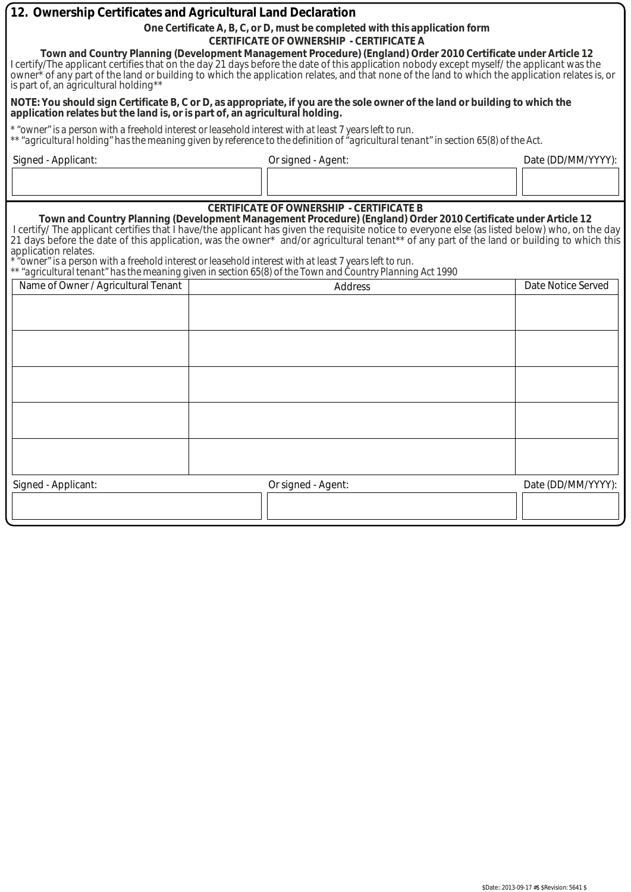| 12. Ownership Certificates and Agricultural Land Declaration                                                                                                                                                                                                                                                                                                                                                                                                                                                                                                                                                                                                |  |                                                                                                                                      |                    |  |  |
|-------------------------------------------------------------------------------------------------------------------------------------------------------------------------------------------------------------------------------------------------------------------------------------------------------------------------------------------------------------------------------------------------------------------------------------------------------------------------------------------------------------------------------------------------------------------------------------------------------------------------------------------------------------|--|--------------------------------------------------------------------------------------------------------------------------------------|--------------------|--|--|
|                                                                                                                                                                                                                                                                                                                                                                                                                                                                                                                                                                                                                                                             |  | One Certificate A, B, C, or D, must be completed with this application form                                                          |                    |  |  |
| <b>CERTIFICATE OF OWNERSHIP - CERTIFICATE A</b><br>Town and Country Planning (Development Management Procedure) (England) Order 2010 Certificate under Article 12<br>I certify/The applicant certifies that on the day 21 days before the date of this application nobody except myself/ the applicant was the<br>owner <sup>*</sup> of any part of the land or building to which the application relates, and that none of the land to which the application relates is, or<br>is part of, an agricultural holding**                                                                                                                                       |  |                                                                                                                                      |                    |  |  |
| application relates but the land is, or is part of, an agricultural holding.                                                                                                                                                                                                                                                                                                                                                                                                                                                                                                                                                                                |  | NOTE: You should sign Certificate B, C or D, as appropriate, if you are the sole owner of the land or building to which the          |                    |  |  |
| * "owner" is a person with a freehold interest or leasehold interest with at least 7 years left to run.                                                                                                                                                                                                                                                                                                                                                                                                                                                                                                                                                     |  | ** "agricultural holding" has the meaning given by reference to the definition of "agricultural tenant" in section 65(8) of the Act. |                    |  |  |
| Signed - Applicant:                                                                                                                                                                                                                                                                                                                                                                                                                                                                                                                                                                                                                                         |  | Or signed - Agent:                                                                                                                   | Date (DD/MM/YYYY): |  |  |
|                                                                                                                                                                                                                                                                                                                                                                                                                                                                                                                                                                                                                                                             |  |                                                                                                                                      |                    |  |  |
| Town and Country Planning (Development Management Procedure) (England) Order 2010 Certificate under Article 12<br>I certify/ The applicant certifies that I have/the applicant has given the requisite notice to everyone else (as listed below) who, on the day<br>21 days before the date of this application, was the owner* and/or agricultural tenant** of any part of the land or building to which this<br>application relates.<br>* "owner" is a person with a freehold interest or leasehold interest with at least 7 years left to run.<br>"agricultural tenant" has the meaning given in section 65(8) of the Town and Country Planning Act 1990 |  |                                                                                                                                      |                    |  |  |
| Name of Owner / Agricultural Tenant<br>Date Notice Served<br><b>Address</b>                                                                                                                                                                                                                                                                                                                                                                                                                                                                                                                                                                                 |  |                                                                                                                                      |                    |  |  |
|                                                                                                                                                                                                                                                                                                                                                                                                                                                                                                                                                                                                                                                             |  |                                                                                                                                      |                    |  |  |
|                                                                                                                                                                                                                                                                                                                                                                                                                                                                                                                                                                                                                                                             |  |                                                                                                                                      |                    |  |  |
|                                                                                                                                                                                                                                                                                                                                                                                                                                                                                                                                                                                                                                                             |  |                                                                                                                                      |                    |  |  |
|                                                                                                                                                                                                                                                                                                                                                                                                                                                                                                                                                                                                                                                             |  |                                                                                                                                      |                    |  |  |
|                                                                                                                                                                                                                                                                                                                                                                                                                                                                                                                                                                                                                                                             |  |                                                                                                                                      |                    |  |  |
| Signed - Applicant:                                                                                                                                                                                                                                                                                                                                                                                                                                                                                                                                                                                                                                         |  | Or signed - Agent:                                                                                                                   | Date (DD/MM/YYYY): |  |  |
|                                                                                                                                                                                                                                                                                                                                                                                                                                                                                                                                                                                                                                                             |  |                                                                                                                                      |                    |  |  |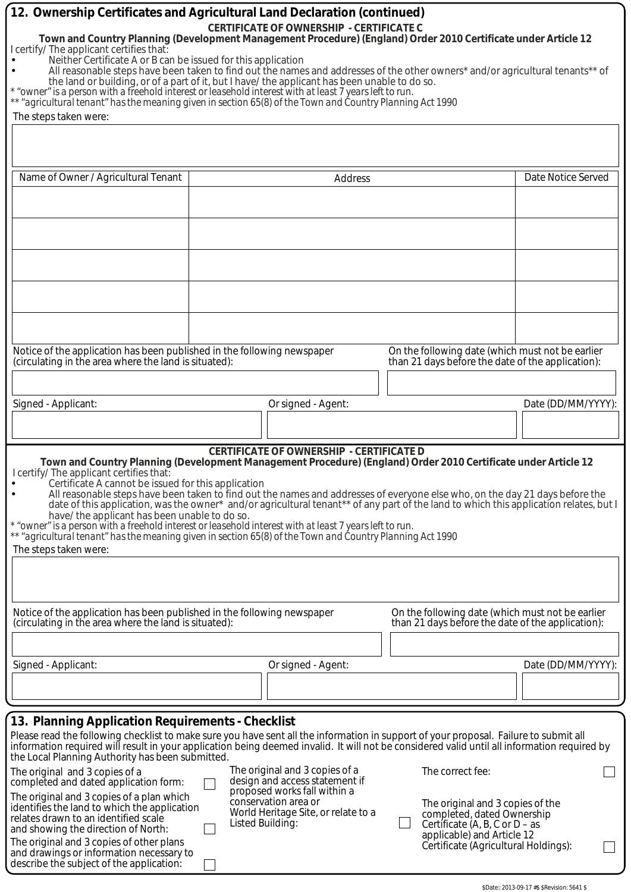| 12. Ownership Certificates and Agricultural Land Declaration (continued)<br>I certify/ The applicant certifies that:<br>Neither Certificate A or B can be issued for this application<br>The steps taken were:                                                                                                                                                                                                                                                                                                                                                                                                                                                                                                                                                                                                                                             | <b>CERTIFICATE OF OWNERSHIP - CERTIFICATE C</b><br>Town and Country Planning (Development Management Procedure) (England) Order 2010 Certificate under Article 12<br>All reasonable steps have been taken to find out the names and addresses of the other owners* and/or agricultural tenants** of<br>the land or building, or of a part of it, but I have/ the applicant has been unable to do so.<br>* "owner" is a person with a freehold interest or leasehold interest with at least 7 years left to run.<br>** "agricultural tenant" has the meaning given in section 65(8) of the Town and Country Planning Act 1990 |                                                                                                                                                                                                       |                    |  |  |
|------------------------------------------------------------------------------------------------------------------------------------------------------------------------------------------------------------------------------------------------------------------------------------------------------------------------------------------------------------------------------------------------------------------------------------------------------------------------------------------------------------------------------------------------------------------------------------------------------------------------------------------------------------------------------------------------------------------------------------------------------------------------------------------------------------------------------------------------------------|------------------------------------------------------------------------------------------------------------------------------------------------------------------------------------------------------------------------------------------------------------------------------------------------------------------------------------------------------------------------------------------------------------------------------------------------------------------------------------------------------------------------------------------------------------------------------------------------------------------------------|-------------------------------------------------------------------------------------------------------------------------------------------------------------------------------------------------------|--------------------|--|--|
| Name of Owner / Agricultural Tenant                                                                                                                                                                                                                                                                                                                                                                                                                                                                                                                                                                                                                                                                                                                                                                                                                        | Address                                                                                                                                                                                                                                                                                                                                                                                                                                                                                                                                                                                                                      |                                                                                                                                                                                                       | Date Notice Served |  |  |
|                                                                                                                                                                                                                                                                                                                                                                                                                                                                                                                                                                                                                                                                                                                                                                                                                                                            |                                                                                                                                                                                                                                                                                                                                                                                                                                                                                                                                                                                                                              |                                                                                                                                                                                                       |                    |  |  |
|                                                                                                                                                                                                                                                                                                                                                                                                                                                                                                                                                                                                                                                                                                                                                                                                                                                            |                                                                                                                                                                                                                                                                                                                                                                                                                                                                                                                                                                                                                              |                                                                                                                                                                                                       |                    |  |  |
| Notice of the application has been published in the following newspaper<br>(circulating in the area where the land is situated):                                                                                                                                                                                                                                                                                                                                                                                                                                                                                                                                                                                                                                                                                                                           |                                                                                                                                                                                                                                                                                                                                                                                                                                                                                                                                                                                                                              | On the following date (which must not be earlier<br>than 21 days before the date of the application):                                                                                                 |                    |  |  |
|                                                                                                                                                                                                                                                                                                                                                                                                                                                                                                                                                                                                                                                                                                                                                                                                                                                            |                                                                                                                                                                                                                                                                                                                                                                                                                                                                                                                                                                                                                              |                                                                                                                                                                                                       |                    |  |  |
| Signed - Applicant:                                                                                                                                                                                                                                                                                                                                                                                                                                                                                                                                                                                                                                                                                                                                                                                                                                        | Or signed - Agent:                                                                                                                                                                                                                                                                                                                                                                                                                                                                                                                                                                                                           |                                                                                                                                                                                                       | Date (DD/MM/YYYY): |  |  |
|                                                                                                                                                                                                                                                                                                                                                                                                                                                                                                                                                                                                                                                                                                                                                                                                                                                            |                                                                                                                                                                                                                                                                                                                                                                                                                                                                                                                                                                                                                              |                                                                                                                                                                                                       |                    |  |  |
| <b>CERTIFICATE OF OWNERSHIP - CERTIFICATE D</b><br>Town and Country Planning (Development Management Procedure) (England) Order 2010 Certificate under Article 12<br>I certify/ The applicant certifies that:<br>Certificate A cannot be issued for this application<br>All reasonable steps have been taken to find out the names and addresses of everyone else who, on the day 21 days before the<br>$\bullet$<br>date of this application, was the owner* and/or agricultural tenant** of any part of the land to which this application relates, but I<br>have/ the applicant has been unable to do so.<br>* "owner" is a person with a freehold interest or leasehold interest with at least 7 years left to run.<br>agricultural tenant" has the meaning given in section 65(8) of the Town and Country Planning Act 1990"<br>The steps taken were: |                                                                                                                                                                                                                                                                                                                                                                                                                                                                                                                                                                                                                              |                                                                                                                                                                                                       |                    |  |  |
| Notice of the application has been published in the following newspaper<br>(circulating in the area where the land is situated):                                                                                                                                                                                                                                                                                                                                                                                                                                                                                                                                                                                                                                                                                                                           |                                                                                                                                                                                                                                                                                                                                                                                                                                                                                                                                                                                                                              | On the following date (which must not be earlier<br>than 21 days before the date of the application):                                                                                                 |                    |  |  |
|                                                                                                                                                                                                                                                                                                                                                                                                                                                                                                                                                                                                                                                                                                                                                                                                                                                            |                                                                                                                                                                                                                                                                                                                                                                                                                                                                                                                                                                                                                              |                                                                                                                                                                                                       |                    |  |  |
| Signed - Applicant:                                                                                                                                                                                                                                                                                                                                                                                                                                                                                                                                                                                                                                                                                                                                                                                                                                        | Or signed - Agent:                                                                                                                                                                                                                                                                                                                                                                                                                                                                                                                                                                                                           |                                                                                                                                                                                                       | Date (DD/MM/YYYY): |  |  |
|                                                                                                                                                                                                                                                                                                                                                                                                                                                                                                                                                                                                                                                                                                                                                                                                                                                            |                                                                                                                                                                                                                                                                                                                                                                                                                                                                                                                                                                                                                              |                                                                                                                                                                                                       |                    |  |  |
|                                                                                                                                                                                                                                                                                                                                                                                                                                                                                                                                                                                                                                                                                                                                                                                                                                                            |                                                                                                                                                                                                                                                                                                                                                                                                                                                                                                                                                                                                                              |                                                                                                                                                                                                       |                    |  |  |
| 13. Planning Application Requirements - Checklist<br>the Local Planning Authority has been submitted.<br>The original and 3 copies of a<br>completed and dated application form:<br>The original and 3 copies of a plan which<br>identifies the land to which the application<br>relates drawn to an identified scale<br>and showing the direction of North:<br>The original and 3 copies of other plans<br>and drawings or information necessary to                                                                                                                                                                                                                                                                                                                                                                                                       | Please read the following checklist to make sure you have sent all the information in support of your proposal. Failure to submit all<br>information required will result in your application being deemed invalid. It will not be considered valid until all information required by<br>The original and 3 copies of a<br>design and access statement if<br>proposed works fall within a<br>conservation area or<br>World Heritage Site, or relate to a<br>Listed Building:                                                                                                                                                 | The correct fee:<br>The original and 3 copies of the<br>completed, dated Ownership<br>Certificate $(A, B, C \text{ or } D - as$<br>applicable) and Article 12<br>Certificate (Agricultural Holdings): |                    |  |  |
| describe the subject of the application:                                                                                                                                                                                                                                                                                                                                                                                                                                                                                                                                                                                                                                                                                                                                                                                                                   |                                                                                                                                                                                                                                                                                                                                                                                                                                                                                                                                                                                                                              |                                                                                                                                                                                                       |                    |  |  |